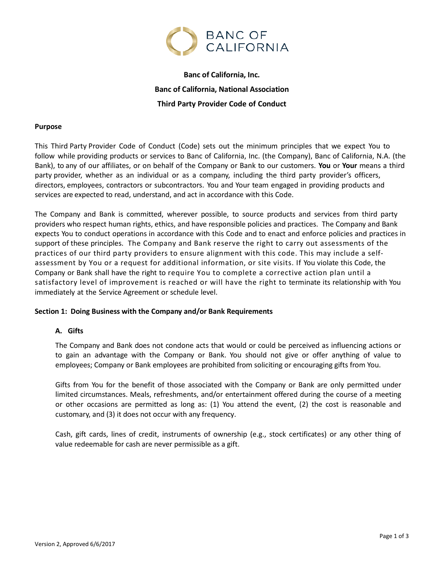

# **Banc of California, Inc. Banc of California, National Association Third Party Provider Code of Conduct**

## **Purpose**

This Third Party Provider Code of Conduct (Code) sets out the minimum principles that we expect You to follow while providing products or services to Banc of California, Inc. (the Company), Banc of California, N.A. (the Bank), to any of our affiliates, or on behalf of the Company or Bank to our customers. **You** or **Your** means a third party provider, whether as an individual or as a company, including the third party provider's officers, directors, employees, contractors or subcontractors. You and Your team engaged in providing products and services are expected to read, understand, and act in accordance with this Code.

The Company and Bank is committed, wherever possible, to source products and services from third party providers who respect human rights, ethics, and have responsible policies and practices. The Company and Bank expects You to conduct operations in accordance with this Code and to enact and enforce policies and practices in support of these principles. The Company and Bank reserve the right to carry out assessments of the practices of our third party providers to ensure alignment with this code. This may include a selfassessment by You or a request for additional information, or site visits. If You violate this Code, the Company or Bank shall have the right to require You to complete a corrective action plan until a satisfactory level of improvement is reached or will have the right to terminate its relationship with You immediately at the Service Agreement or schedule level.

## **Section 1: Doing Business with the Company and/or Bank Requirements**

## **A. Gifts**

The Company and Bank does not condone acts that would or could be perceived as influencing actions or to gain an advantage with the Company or Bank. You should not give or offer anything of value to employees; Company or Bank employees are prohibited from soliciting or encouraging gifts from You.

Gifts from You for the benefit of those associated with the Company or Bank are only permitted under limited circumstances. Meals, refreshments, and/or entertainment offered during the course of a meeting or other occasions are permitted as long as: (1) You attend the event, (2) the cost is reasonable and customary, and (3) it does not occur with any frequency.

Cash, gift cards, lines of credit, instruments of ownership (e.g., stock certificates) or any other thing of value redeemable for cash are never permissible as a gift.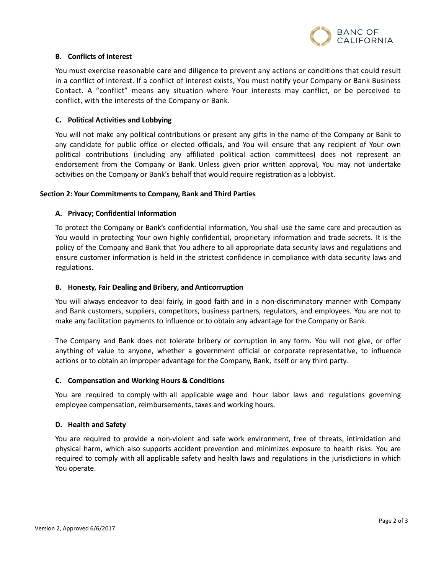

## **B. Conflicts of Interest**

You must exercise reasonable care and diligence to prevent any actions or conditions that could result in a conflict of interest. If a conflict of interest exists, You must notify your Company or Bank Business Contact. A "conflict" means any situation where Your interests may conflict, or be perceived to conflict, with the interests of the Company or Bank.

## **C. Political Activities and Lobbying**

You will not make any political contributions or present any gifts in the name of the Company or Bank to any candidate for public office or elected officials, and You will ensure that any recipient of Your own political contributions (including any affiliated political action committees) does not represent an endorsement from the Company or Bank. Unless given prior written approval, You may not undertake activities on the Company or Bank's behalf that would require registration as a lobbyist.

## **Section 2: Your Commitments to Company, Bank and Third Parties**

## **A. Privacy; Confidential Information**

To protect the Company or Bank's confidential information, You shall use the same care and precaution as You would in protecting Your own highly confidential, proprietary information and trade secrets. It is the policy of the Company and Bank that You adhere to all appropriate data security laws and regulations and ensure customer information is held in the strictest confidence in compliance with data security laws and regulations.

## **B. Honesty, Fair Dealing and Bribery, and Anticorruption**

You will always endeavor to deal fairly, in good faith and in a non-discriminatory manner with Company and Bank customers, suppliers, competitors, business partners, regulators, and employees. You are not to make any facilitation payments to influence or to obtain any advantage for the Company or Bank.

The Company and Bank does not tolerate bribery or corruption in any form. You will not give, or offer anything of value to anyone, whether a government official or corporate representative, to influence actions or to obtain an improper advantage for the Company, Bank, itself or any third party.

## **C. Compensation and Working Hours & Conditions**

You are required to comply with all applicable wage and hour labor laws and regulations governing employee compensation, reimbursements, taxes and working hours.

## **D. Health and Safety**

You are required to provide a non-violent and safe work environment, free of threats, intimidation and physical harm, which also supports accident prevention and minimizes exposure to health risks. You are required to comply with all applicable safety and health laws and regulations in the jurisdictions in which You operate.